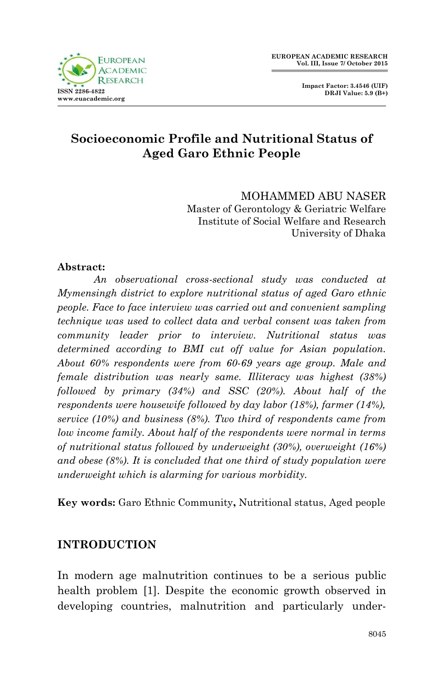

 **Impact Factor: 3.4546 (UIF) DRJI Value: 5.9 (B+)**

# **Socioeconomic Profile and Nutritional Status of Aged Garo Ethnic People**

MOHAMMED ABU NASER Master of Gerontology & Geriatric Welfare Institute of Social Welfare and Research University of Dhaka

### **Abstract:**

*An observational cross-sectional study was conducted at Mymensingh district to explore nutritional status of aged Garo ethnic people. Face to face interview was carried out and convenient sampling technique was used to collect data and verbal consent was taken from community leader prior to interview. Nutritional status was determined according to BMI cut off value for Asian population. About 60% respondents were from 60-69 years age group. Male and female distribution was nearly same. Illiteracy was highest (38%) followed by primary (34%) and SSC (20%). About half of the respondents were housewife followed by day labor (18%), farmer (14%), service (10%) and business (8%). Two third of respondents came from low income family. About half of the respondents were normal in terms of nutritional status followed by underweight (30%), overweight (16%) and obese (8%). It is concluded that one third of study population were underweight which is alarming for various morbidity.*

**Key words:** Garo Ethnic Community**,** Nutritional status, Aged people

### **INTRODUCTION**

In modern age malnutrition continues to be a serious public health problem [1]. Despite the economic growth observed in developing countries, malnutrition and particularly under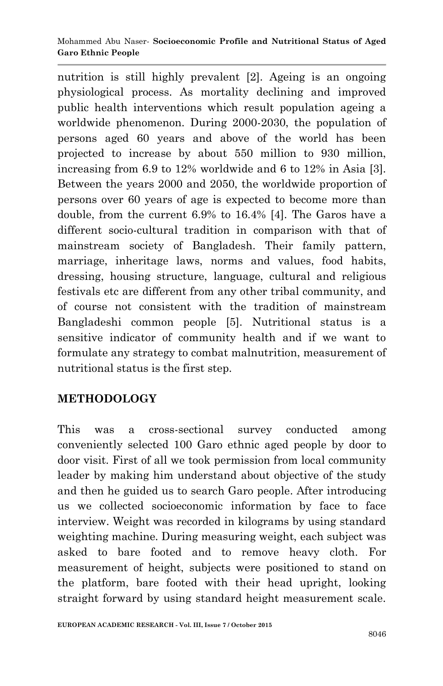nutrition is still highly prevalent [2]. Ageing is an ongoing physiological process. As mortality declining and improved public health interventions which result population ageing a worldwide phenomenon. During 2000-2030, the population of persons aged 60 years and above of the world has been projected to increase by about 550 million to 930 million, increasing from 6.9 to 12% worldwide and 6 to 12% in Asia [3]. Between the years 2000 and 2050, the worldwide proportion of persons over 60 years of age is expected to become more than double, from the current 6.9% to 16.4% [4]. The Garos have a different socio-cultural tradition in comparison with that of mainstream society of Bangladesh. Their family pattern, marriage, inheritage laws, norms and values, food habits, dressing, housing structure, language, cultural and religious festivals etc are different from any other tribal community, and of course not consistent with the tradition of mainstream Bangladeshi common people [5]. Nutritional status is a sensitive indicator of community health and if we want to formulate any strategy to combat malnutrition, measurement of nutritional status is the first step.

# **METHODOLOGY**

This was a cross-sectional survey conducted among conveniently selected 100 Garo ethnic aged people by door to door visit. First of all we took permission from local community leader by making him understand about objective of the study and then he guided us to search Garo people. After introducing us we collected socioeconomic information by face to face interview. Weight was recorded in kilograms by using standard weighting machine. During measuring weight, each subject was asked to bare footed and to remove heavy cloth. For measurement of height, subjects were positioned to stand on the platform, bare footed with their head upright, looking straight forward by using standard height measurement scale.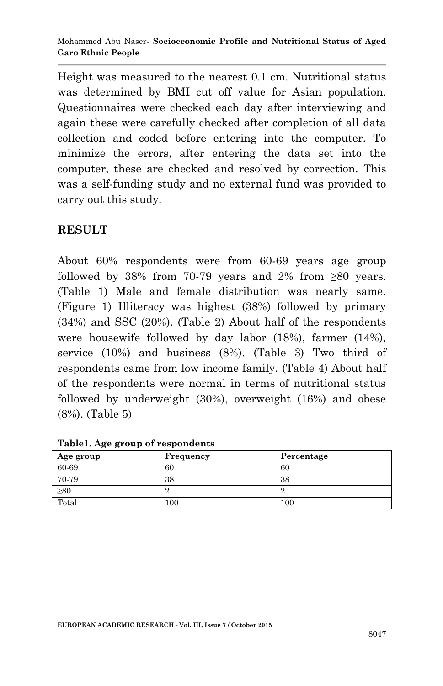Height was measured to the nearest 0.1 cm. Nutritional status was determined by BMI cut off value for Asian population. Questionnaires were checked each day after interviewing and again these were carefully checked after completion of all data collection and coded before entering into the computer. To minimize the errors, after entering the data set into the computer, these are checked and resolved by correction. This was a self-funding study and no external fund was provided to carry out this study.

## **RESULT**

About 60% respondents were from 60-69 years age group followed by 38% from 70-79 years and 2% from ≥80 years. (Table 1) Male and female distribution was nearly same. (Figure 1) Illiteracy was highest (38%) followed by primary (34%) and SSC (20%). (Table 2) About half of the respondents were housewife followed by day labor (18%), farmer (14%), service (10%) and business (8%). (Table 3) Two third of respondents came from low income family. (Table 4) About half of the respondents were normal in terms of nutritional status followed by underweight (30%), overweight (16%) and obese (8%). (Table 5)

| Age group | Frequency | Percentage |
|-----------|-----------|------------|
| 60-69     | 60        | 60         |
| 70-79     | 38        | 38         |
| $\geq 80$ |           | ∠          |
| Total     | 100       | $100\,$    |

**Table1. Age group of respondents**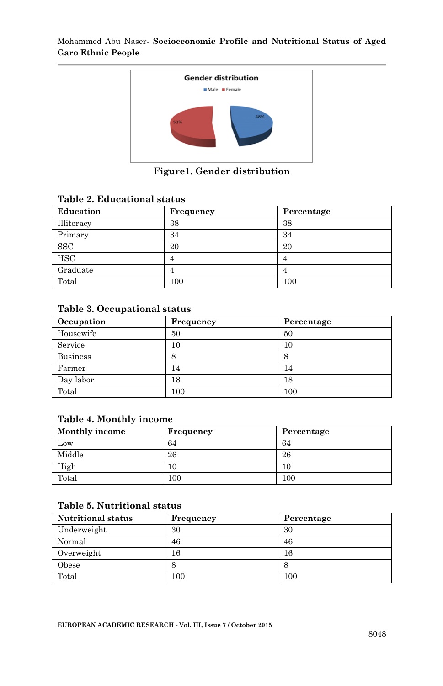

**Figure1. Gender distribution**

#### **Table 2. Educational status**

| Education  | Frequency | Percentage |
|------------|-----------|------------|
| Illiteracy | 38        | 38         |
| Primary    | 34        | 34         |
| <b>SSC</b> | 20        | 20         |
| <b>HSC</b> |           |            |
| Graduate   |           |            |
| Total      | 100       | 100        |

#### **Table 3. Occupational status**

| Occupation      | Frequency | Percentage |
|-----------------|-----------|------------|
| Housewife       | 50        | 50         |
| Service         | 10        | 10         |
| <b>Business</b> | 8         | 8          |
| Farmer          | 14        | 14         |
| Day labor       | 18        | 18         |
| Total           | 100       | 100        |

#### **Table 4. Monthly income**

| Monthly income | Frequency | Percentage |
|----------------|-----------|------------|
| Low            | 64        | 64         |
| Middle         | 26        | 26         |
| High           | 10        | 10         |
| Total          | 100       | 100        |

#### **Table 5. Nutritional status**

| <b>Nutritional status</b> | Frequency | Percentage |
|---------------------------|-----------|------------|
| Underweight               | 30        | 30         |
| Normal                    | 46        | 46         |
| Overweight                | 16        | 16         |
| Obese                     |           |            |
| Total                     | $100\,$   | 100        |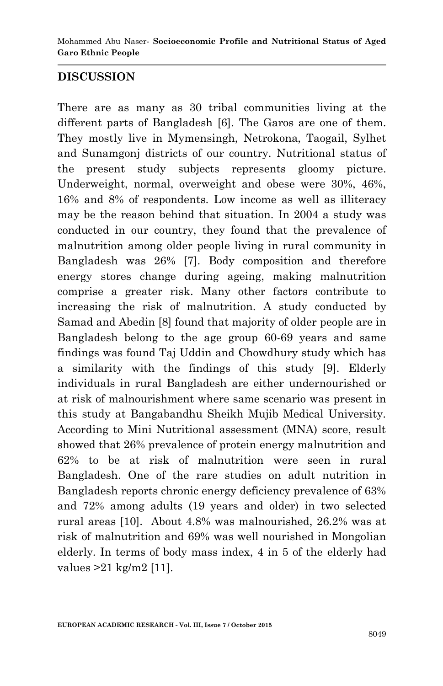## **DISCUSSION**

There are as many as 30 tribal communities living at the different parts of Bangladesh [6]. The Garos are one of them. They mostly live in Mymensingh, Netrokona, Taogail, Sylhet and Sunamgonj districts of our country. Nutritional status of the present study subjects represents gloomy picture. Underweight, normal, overweight and obese were 30%, 46%, 16% and 8% of respondents. Low income as well as illiteracy may be the reason behind that situation. In 2004 a study was conducted in our country, they found that the prevalence of malnutrition among older people living in rural community in Bangladesh was 26% [7]. Body composition and therefore energy stores change during ageing, making malnutrition comprise a greater risk. Many other factors contribute to increasing the risk of malnutrition. A study conducted by Samad and Abedin [8] found that majority of older people are in Bangladesh belong to the age group 60-69 years and same findings was found Taj Uddin and Chowdhury study which has a similarity with the findings of this study [9]. Elderly individuals in rural Bangladesh are either undernourished or at risk of malnourishment where same scenario was present in this study at Bangabandhu Sheikh Mujib Medical University. According to Mini Nutritional assessment (MNA) score, result showed that 26% prevalence of protein energy malnutrition and 62% to be at risk of malnutrition were seen in rural Bangladesh. One of the rare studies on adult nutrition in Bangladesh reports chronic energy deficiency prevalence of 63% and 72% among adults (19 years and older) in two selected rural areas [10]. About 4.8% was malnourished, 26.2% was at risk of malnutrition and 69% was well nourished in Mongolian elderly. In terms of body mass index, 4 in 5 of the elderly had values >21 kg/m2 [11].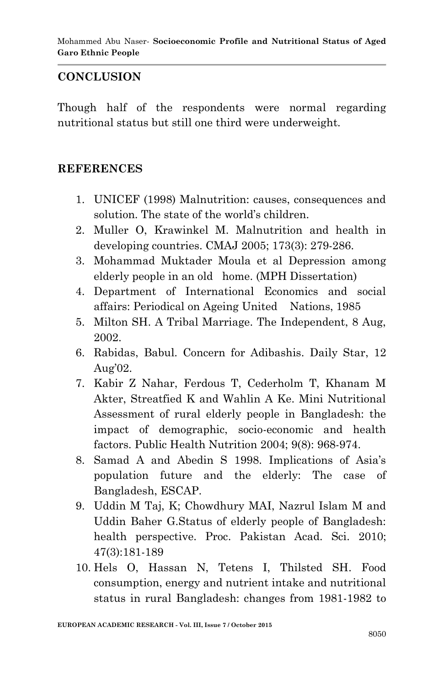## **CONCLUSION**

Though half of the respondents were normal regarding nutritional status but still one third were underweight.

### **REFERENCES**

- 1. UNICEF (1998) Malnutrition: causes, consequences and solution. The state of the world's children.
- 2. Muller O, Krawinkel M. Malnutrition and health in developing countries. CMAJ 2005; 173(3): 279-286.
- 3. Mohammad Muktader Moula et al Depression among elderly people in an old home. (MPH Dissertation)
- 4. Department of International Economics and social affairs: Periodical on Ageing United Nations, 1985
- 5. Milton SH. A Tribal Marriage. The Independent, 8 Aug, 2002.
- 6. Rabidas, Babul. Concern for Adibashis. Daily Star, 12 Aug'02.
- 7. Kabir Z Nahar, Ferdous T, Cederholm T, Khanam M Akter, Streatfied K and Wahlin A Ke. Mini Nutritional Assessment of rural elderly people in Bangladesh: the impact of demographic, socio-economic and health factors. Public Health Nutrition 2004; 9(8): 968-974.
- 8. Samad A and Abedin S 1998. Implications of Asia's population future and the elderly: The case of Bangladesh, ESCAP.
- 9. Uddin M Taj, K; Chowdhury MAI, Nazrul Islam M and Uddin Baher G.Status of elderly people of Bangladesh: health perspective. Proc. Pakistan Acad. Sci. 2010; 47(3):181-189
- 10. Hels O, Hassan N, Tetens I, Thilsted SH. Food consumption, energy and nutrient intake and nutritional status in rural Bangladesh: changes from 1981-1982 to